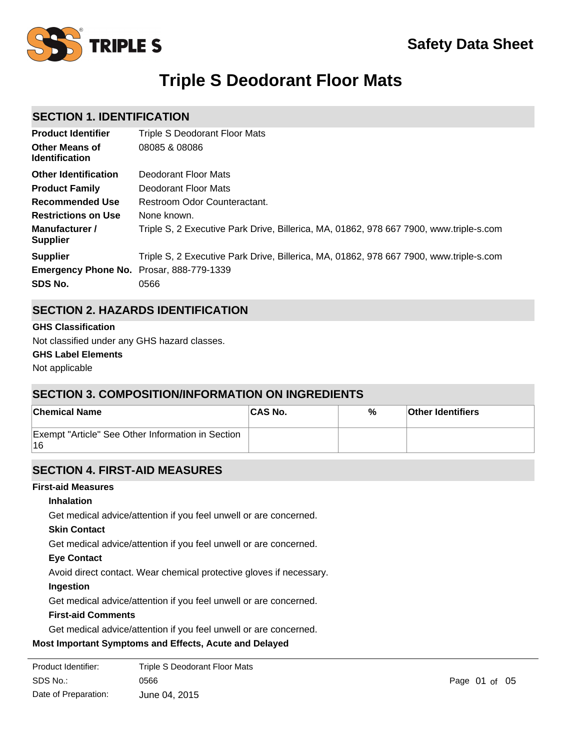

# **Triple S Deodorant Floor Mats**

# **SECTION 1. IDENTIFICATION**

| <b>Product Identifier</b>                                  | Triple S Deodorant Floor Mats                                                          |
|------------------------------------------------------------|----------------------------------------------------------------------------------------|
| <b>Other Means of</b><br><b>Identification</b>             | 08085 & 08086                                                                          |
| <b>Other Identification</b>                                | Deodorant Floor Mats                                                                   |
| <b>Product Family</b>                                      | Deodorant Floor Mats                                                                   |
| <b>Recommended Use</b>                                     | Restroom Odor Counteractant.                                                           |
| <b>Restrictions on Use</b>                                 | None known.                                                                            |
| Manufacturer /<br><b>Supplier</b>                          | Triple S, 2 Executive Park Drive, Billerica, MA, 01862, 978 667 7900, www.triple-s.com |
| <b>Supplier</b>                                            | Triple S, 2 Executive Park Drive, Billerica, MA, 01862, 978 667 7900, www.triple-s.com |
| <b>Emergency Phone No.</b> Prosar, 888-779-1339<br>SDS No. | 0566                                                                                   |

# **SECTION 2. HAZARDS IDENTIFICATION**

#### **GHS Classification**

**GHS Label Elements** Not classified under any GHS hazard classes.

Not applicable

# **SECTION 3. COMPOSITION/INFORMATION ON INGREDIENTS**

| <b>Chemical Name</b>                                    | <b>CAS No.</b> | % | <b>Other Identifiers</b> |
|---------------------------------------------------------|----------------|---|--------------------------|
| Exempt "Article" See Other Information in Section<br>16 |                |   |                          |

# **SECTION 4. FIRST-AID MEASURES**

### **First-aid Measures**

### **Inhalation**

Get medical advice/attention if you feel unwell or are concerned.

### **Skin Contact**

Get medical advice/attention if you feel unwell or are concerned.

### **Eye Contact**

Avoid direct contact. Wear chemical protective gloves if necessary.

### **Ingestion**

Get medical advice/attention if you feel unwell or are concerned.

### **First-aid Comments**

Get medical advice/attention if you feel unwell or are concerned.

### **Most Important Symptoms and Effects, Acute and Delayed**

| Product Identifier:  | Triple S Deodorant Floor Mats |
|----------------------|-------------------------------|
| SDS No.:             | 0566                          |
| Date of Preparation: | June 04, 2015                 |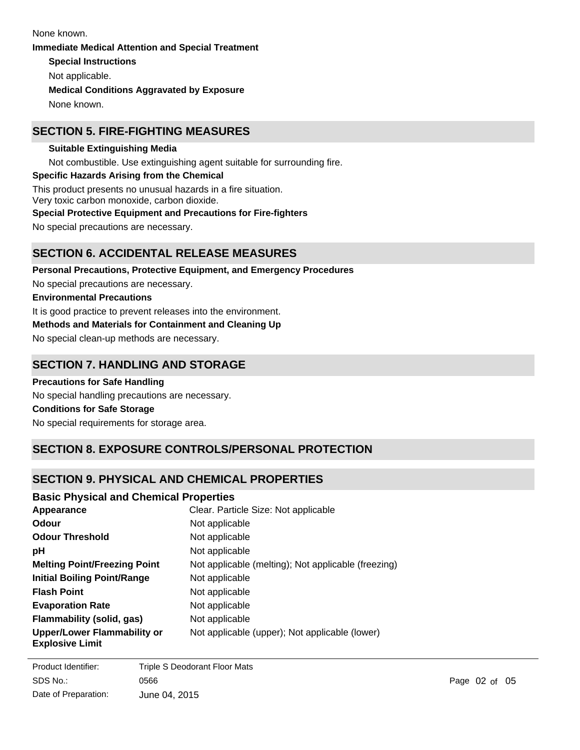**Special Instructions** Not applicable. **Immediate Medical Attention and Special Treatment Medical Conditions Aggravated by Exposure** None known. None known.

# **SECTION 5. FIRE-FIGHTING MEASURES**

**Suitable Extinguishing Media** Not combustible. Use extinguishing agent suitable for surrounding fire. **Specific Hazards Arising from the Chemical** This product presents no unusual hazards in a fire situation. Very toxic carbon monoxide, carbon dioxide. **Special Protective Equipment and Precautions for Fire-fighters**

No special precautions are necessary.

# **SECTION 6. ACCIDENTAL RELEASE MEASURES**

**Personal Precautions, Protective Equipment, and Emergency Procedures** No special precautions are necessary. **Environmental Precautions** It is good practice to prevent releases into the environment. **Methods and Materials for Containment and Cleaning Up** No special clean-up methods are necessary.

## **SECTION 7. HANDLING AND STORAGE**

**Precautions for Safe Handling** No special handling precautions are necessary. **Conditions for Safe Storage** No special requirements for storage area.

# **SECTION 8. EXPOSURE CONTROLS/PERSONAL PROTECTION**

## **SECTION 9. PHYSICAL AND CHEMICAL PROPERTIES**

| <b>Basic Physical and Chemical Properties</b>                |                                                     |
|--------------------------------------------------------------|-----------------------------------------------------|
| Appearance                                                   | Clear. Particle Size: Not applicable                |
| Odour                                                        | Not applicable                                      |
| <b>Odour Threshold</b>                                       | Not applicable                                      |
| рH                                                           | Not applicable                                      |
| <b>Melting Point/Freezing Point</b>                          | Not applicable (melting); Not applicable (freezing) |
| <b>Initial Boiling Point/Range</b>                           | Not applicable                                      |
| <b>Flash Point</b>                                           | Not applicable                                      |
| <b>Evaporation Rate</b>                                      | Not applicable                                      |
| Flammability (solid, gas)                                    | Not applicable                                      |
| <b>Upper/Lower Flammability or</b><br><b>Explosive Limit</b> | Not applicable (upper); Not applicable (lower)      |

**Vapour Pressure** Not applicable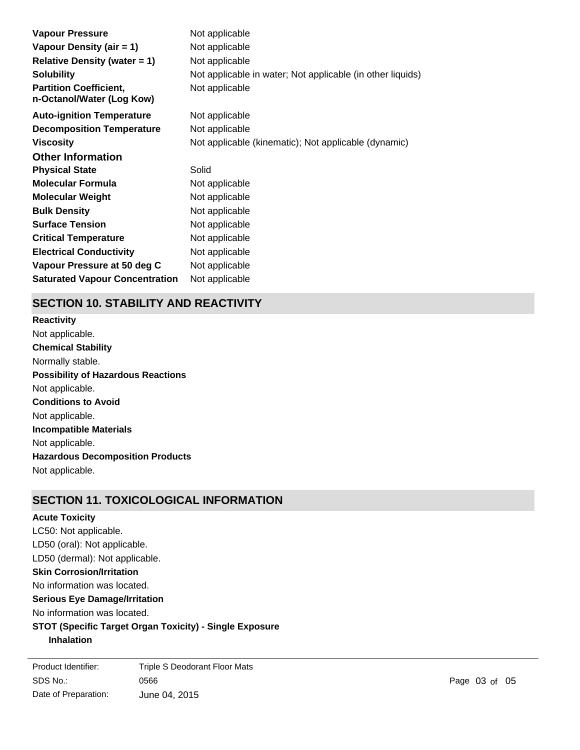| Vapour Pressure                                            | Not applicable                                             |
|------------------------------------------------------------|------------------------------------------------------------|
| Vapour Density (air $= 1$ )                                | Not applicable                                             |
| <b>Relative Density (water = 1)</b>                        | Not applicable                                             |
| <b>Solubility</b>                                          | Not applicable in water; Not applicable (in other liquids) |
| <b>Partition Coefficient,</b><br>n-Octanol/Water (Log Kow) | Not applicable                                             |
| <b>Auto-ignition Temperature</b>                           | Not applicable                                             |
| <b>Decomposition Temperature</b>                           | Not applicable                                             |
| <b>Viscosity</b>                                           | Not applicable (kinematic); Not applicable (dynamic)       |
| <b>Other Information</b>                                   |                                                            |
| <b>Physical State</b>                                      | Solid                                                      |
| <b>Molecular Formula</b>                                   | Not applicable                                             |
| <b>Molecular Weight</b>                                    | Not applicable                                             |
| <b>Bulk Density</b>                                        | Not applicable                                             |
| <b>Surface Tension</b>                                     | Not applicable                                             |
| <b>Critical Temperature</b>                                | Not applicable                                             |
| <b>Electrical Conductivity</b>                             | Not applicable                                             |
| Vapour Pressure at 50 deg C                                | Not applicable                                             |
| <b>Saturated Vapour Concentration</b>                      | Not applicable                                             |

# **SECTION 10. STABILITY AND REACTIVITY**

**Chemical Stability** Normally stable. **Conditions to Avoid** Not applicable. **Incompatible Materials** Not applicable. **Hazardous Decomposition Products** Not applicable. **Possibility of Hazardous Reactions** Not applicable. **Reactivity** Not applicable.

# **SECTION 11. TOXICOLOGICAL INFORMATION**

### **Acute Toxicity**

LC50: Not applicable. LD50 (oral): Not applicable. **Skin Corrosion/Irritation** No information was located. **Serious Eye Damage/Irritation** No information was located. **STOT (Specific Target Organ Toxicity) - Single Exposure Inhalation** LD50 (dermal): Not applicable.

SDS No.: Date of Preparation: 0566 **Page 03 of 05** June 04, 2015 Product Identifier: Triple S Deodorant Floor Mats

No information was located.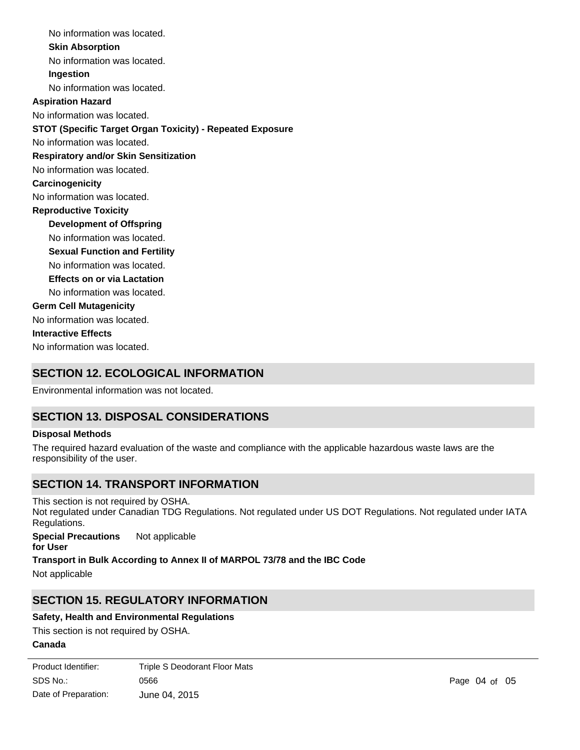No information was located. **Skin Absorption** No information was located. **Ingestion** No information was located. No information was located. **STOT (Specific Target Organ Toxicity) - Repeated Exposure Respiratory and/or Skin Sensitization** No information was located. **Carcinogenicity** No information was located. **Development of Offspring** No information was located. **Reproductive Toxicity** No information was located. **Germ Cell Mutagenicity** No information was located. **Interactive Effects** No information was located. **Sexual Function and Fertility Effects on or via Lactation** No information was located. No information was located. **Aspiration Hazard**

# **SECTION 12. ECOLOGICAL INFORMATION**

Environmental information was not located.

# **SECTION 13. DISPOSAL CONSIDERATIONS**

### **Disposal Methods**

The required hazard evaluation of the waste and compliance with the applicable hazardous waste laws are the responsibility of the user.

# **SECTION 14. TRANSPORT INFORMATION**

This section is not required by OSHA. Not regulated under Canadian TDG Regulations. Not regulated under US DOT Regulations. Not regulated under IATA Regulations.

**Special Precautions for User** Not applicable

**Transport in Bulk According to Annex II of MARPOL 73/78 and the IBC Code**

Not applicable

# **SECTION 15. REGULATORY INFORMATION**

### **Safety, Health and Environmental Regulations**

This section is not required by OSHA.

# **Canada**

**Product Identifier:** SDS No.: Date of Preparation: 0566 **Page 04 of 05** June 04, 2015 Triple S Deodorant Floor Mats